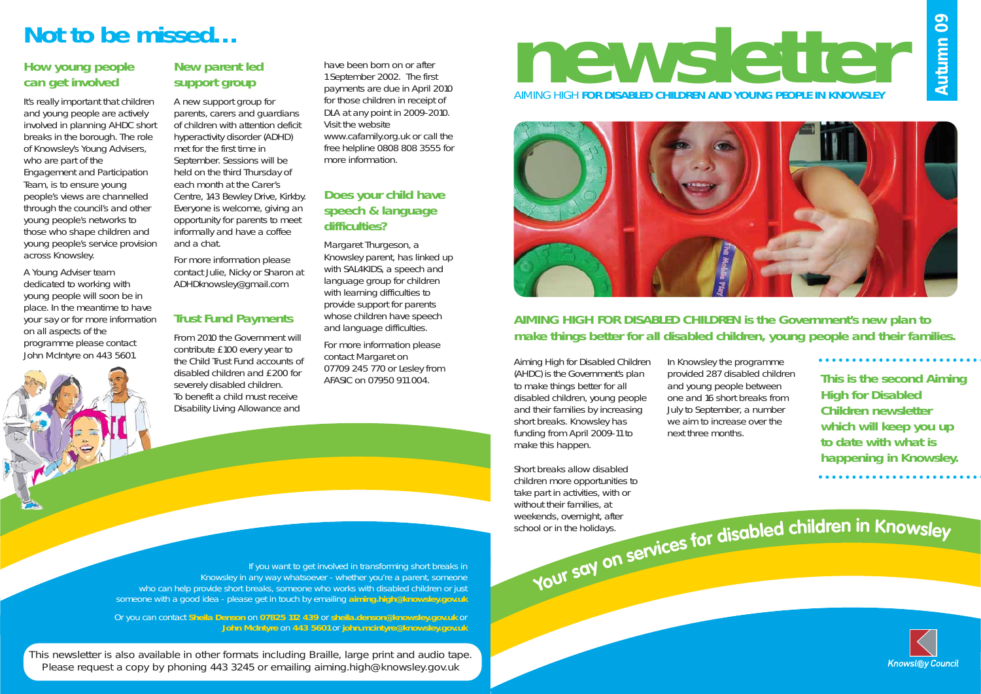**newsletter** AIMING HIGH **FOR DISABLED CHILDREN AND YOUNG PEOPLE IN KNOWSLEY**





### **AIMING HIGH FOR DISABLED CHILDREN is the Government's new plan to make things better for all disabled children, young people and their families.**

## **Not to be missed…**

### **How young people can get involved**

It's really important that children and young people are actively involved in planning AHDC short breaks in the borough. The role of Knowsley's Young Advisers, who are part of the Engagement and Participation Team, is to ensure young people's views are channelled through the council's and other young people's networks to those who shape children and young people's service provision across Knowsley.

A Young Adviser team dedicated to working with young people will soon be in place. In the meantime to have your say or for more information on all aspects of the programme please contact John McIntyre on 443 5601.

### **New parent led support group**

Margaret Thurgeson, a Knowsley parent, has linked up with SAL4KIDS, a speech and language group for children with learning difficulties to provide support for parents whose children have speech and language difficulties.

A new support group for parents, carers and guardians of children with attention deficit hyperactivity disorder (ADHD) met for the first time in September. Sessions will be held on the third Thursday of each month at the Carer's Centre, 143 Bewley Drive, Kirkby. Everyone is welcome, giving an opportunity for parents to meet informally and have a coffee and a chat.

For more information please contact Julie, Nicky or Sharon at ADHDknowsley@gmail.com

### **Trust Fund Payments**

From 2010 the Government will contribute £100 every year to the Child Trust Fund accounts of disabled children and £200 for severely disabled children. To benefit a child must receive Disability Living Allowance and

have been born on or after 1 September 2002. The first payments are due in April 2010 for those children in receipt of DLA at any point in 2009-2010. Visit the website www.cafamily.org.uk or call the free helpline 0808 808 3555 for more information.

### **Does your child have speech & language difficulties?**

For more information please contact Margaret on 07709 245 770 or Lesley from AFASIC on 07950 911 004.

If you want to get involved in transforming short breaks in Knowsley in any way whatsoever - whether you're a parent, someone who can help provide short breaks, someone who works with disabled children or just someone with a good idea - please get in touch by emailing **aiming.high@knowsley.gov.uk**

Or you can contact **Sheila Denson** on **07825 112 439** or **sheila.denson@knowsley.gov.uk** or **John McIntyre** on **443 5601** or **john.mcintyre@knowsley.gov.uk** **You<sup>r</sup>**

**<sup>s</sup>ay**

**on**

Aiming High for Disabled Children (AHDC) is the Government's plan to make things better for all disabled children, young people and their families by increasing short breaks. Knowsley has funding from April 2009-11 to make this happen.

Short breaks allow disabled children more opportunities to take part in activities, with or without their families, at weekends, overnight, after school or in the holidays.

In Knowsley the programme provided 287 disabled children and young people between one and 16 short breaks from July to September, a number we aim to increase over the next three months.

**This is the second Aiming High for Disabled Children newsletter which will keep you up to date with what is happening in Knowsley.**

## services for disabled children in Knowsley



This newsletter is also available in other formats including Braille, large print and audio tape. Please request a copy by phoning 443 3245 or emailing aiming.high@knowsley.gov.uk